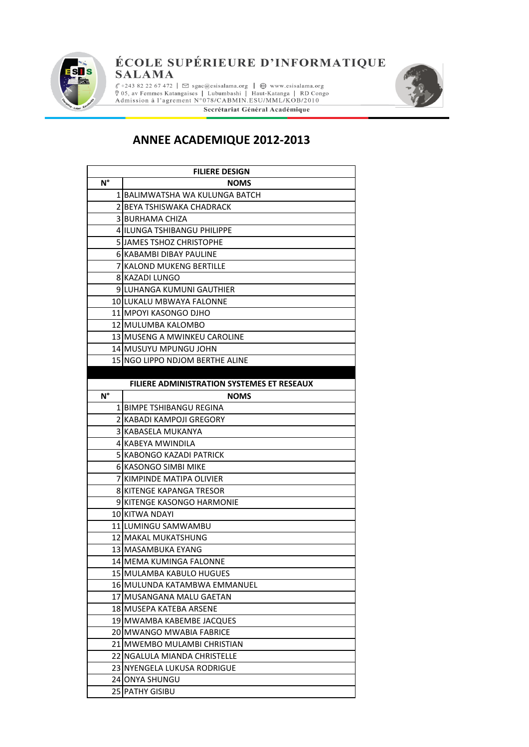

#### ÉCOLE SUPÉRIEURE D'INFORMATIQUE **SALAMA**

 $\ell$  +243 82 22 67 472 |  $\boxtimes$  sgac@esisalama.org |  $\bigoplus$  www.esisalama.org  $\%$  05, av Femmes Katangaises | Lubumbashi | Haut-Katanga | RD Congo Admission à l'agrement N°078/CABMIN.ESU/MML/KOB/2010 Secrétariat Général Académique



#### **ANNEE ACADEMIQUE 2012-2013**

| <b>FILIERE DESIGN</b> |                                                   |
|-----------------------|---------------------------------------------------|
| $N^{\circ}$           | <b>NOMS</b>                                       |
|                       | 1 BALIMWATSHA WA KULUNGA BATCH                    |
|                       | 2 BEYA TSHISWAKA CHADRACK                         |
|                       | <b>3 BURHAMA CHIZA</b>                            |
|                       | 4 IILUNGA TSHIBANGU PHILIPPE                      |
|                       | 5 JJAMES TSHOZ CHRISTOPHE                         |
|                       | 6 KABAMBI DIBAY PAULINE                           |
|                       | 7 KALOND MUKENG BERTILLE                          |
|                       | 8 KAZADI LUNGO                                    |
|                       | 9 LUHANGA KUMUNI GAUTHIER                         |
|                       | 10 LUKALU MBWAYA FALONNE                          |
|                       | 11 MPOYI KASONGO DJHO                             |
|                       | 12 IMULUMBA KALOMBO                               |
|                       | 13 MUSENG A MWINKEU CAROLINE                      |
|                       | 14lMUSUYU MPUNGU JOHN                             |
|                       | 15 NGO LIPPO NDJOM BERTHE ALINE                   |
|                       |                                                   |
|                       | <b>FILIERE ADMINISTRATION SYSTEMES ET RESEAUX</b> |
| $N^{\circ}$           | <b>NOMS</b>                                       |
|                       | 1 BIMPE TSHIBANGU REGINA                          |
|                       | 2 KABADI KAMPOJI GREGORY                          |
|                       | 3 IKABASELA MUKANYA                               |
|                       | 4 KABEYA MWINDILA                                 |
|                       | 5 IKABONGO KAZADI PATRICK                         |
|                       | 6 KASONGO SIMBI MIKE                              |
|                       | 7 KIMPINDE MATIPA OLIVIER                         |
|                       | 8 KITENGE KAPANGA TRESOR                          |
|                       | 9 KITENGE KASONGO HARMONIE                        |
|                       | 10 KITWA NDAYI                                    |
|                       | 11 LUMINGU SAMWAMBU                               |
|                       | 12 MAKAL MUKATSHUNG                               |
|                       | 13 MASAMBUKA EYANG                                |
|                       | 14lMEMA KUMINGA FALONNE                           |
|                       | 15 MULAMBA KABULO HUGUES                          |
|                       | 16 MULUNDA KATAMBWA EMMANUEL                      |
|                       | 17 MUSANGANA MALU GAETAN                          |
|                       | 18 MUSEPA KATEBA ARSENE                           |
|                       | 19 MWAMBA KABEMBE JACQUES                         |
|                       | 20 MWANGO MWABIA FABRICE                          |
|                       | 21 MWEMBO MULAMBI CHRISTIAN                       |
|                       | 22 INGALULA MIANDA CHRISTELLE                     |
|                       | 23 INYENGELA LUKUSA RODRIGUE                      |
|                       | 24 JONYA SHUNGU                                   |
| 25                    | <b>PATHY GISIBU</b>                               |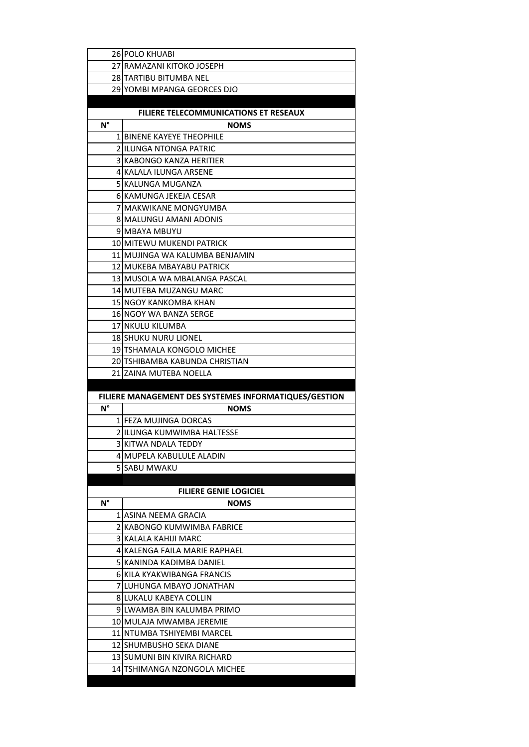|             | 26 POLO KHUABI                                        |
|-------------|-------------------------------------------------------|
|             | 27 RAMAZANI KITOKO JOSEPH                             |
|             | 28 TARTIBU BITUMBA NEL                                |
|             | 29 YOMBI MPANGA GEORCES DJO                           |
|             |                                                       |
|             | <b>FILIERE TELECOMMUNICATIONS ET RESEAUX</b>          |
| $N^{\circ}$ | <b>NOMS</b>                                           |
|             | 1 BINENE KAYEYE THEOPHILE                             |
|             | 2 ILUNGA NTONGA PATRIC                                |
| 3           | IKABONGO KANZA HERITIER                               |
|             | 4 IKALALA ILUNGA ARSENE                               |
|             | 5 KALUNGA MUGANZA                                     |
|             | 6lKAMUNGA JEKEJA CESAR                                |
|             | 7 MAKWIKANE MONGYUMBA                                 |
|             | 8 MALUNGU AMANI ADONIS                                |
|             | 9 MBAYA MBUYU                                         |
|             | 10 MITEWU MUKENDI PATRICK                             |
|             | 11 IMUJINGA WA KALUMBA BENJAMIN                       |
|             | 12 IMUKEBA MBAYABU PATRICK                            |
|             | 13 IMUSOLA WA MBALANGA PASCAL                         |
|             | 14 MUTEBA MUZANGU MARC                                |
|             | 15 INGOY KANKOMBA KHAN                                |
|             | <b>16 NGOY WA BANZA SERGE</b>                         |
|             | 17 INKULU KILUMBA                                     |
|             | <b>18 SHUKU NURU LIONEL</b>                           |
|             | 19 TSHAMALA KONGOLO MICHEE                            |
|             | 20 ITSHIBAMBA KABUNDA CHRISTIAN                       |
| 21          | IZAINA MUTEBA NOELLA                                  |
|             |                                                       |
|             | FILIERE MANAGEMENT DES SYSTEMES INFORMATIQUES/GESTION |
| $N^{\circ}$ | <b>NOMS</b>                                           |
|             | 1 IFEZA MUJINGA DORCAS                                |
|             | 2 ILUNGA KUMWIMBA HALTESSE                            |
|             | 3 KITWA NDALA TEDDY                                   |
|             | 4 IMUPELA KABULULE ALADIN                             |
| 5.          | <b>SABU MWAKU</b>                                     |
|             |                                                       |
|             | <b>FILIERE GENIE LOGICIEL</b>                         |
| N°          | <b>NOMS</b>                                           |
|             | 1 IASINA NEEMA GRACIA                                 |
|             | 2 KABONGO KUMWIMBA FABRICE                            |
| 3           | KALALA KAHIJI MARC                                    |
|             | 4 KALENGA FAILA MARIE RAPHAEL                         |
| 51          | KANINDA KADIMBA DANIEL                                |
|             | 6 KILA KYAKWIBANGA FRANCIS                            |
|             | 7 LUHUNGA MBAYO JONATHAN                              |
|             | 8 LUKALU KABEYA COLLIN                                |
|             | 9 ILWAMBA BIN KALUMBA PRIMO                           |
|             | 10 IMULAJA MWAMBA JEREMIE                             |
|             | 11 NTUMBA TSHIYEMBI MARCEL                            |
|             | 12 ISHUMBUSHO SEKA DIANE                              |
|             | 13 ISUMUNI BIN KIVIRA RICHARD                         |
|             | 14 TSHIMANGA NZONGOLA MICHEE                          |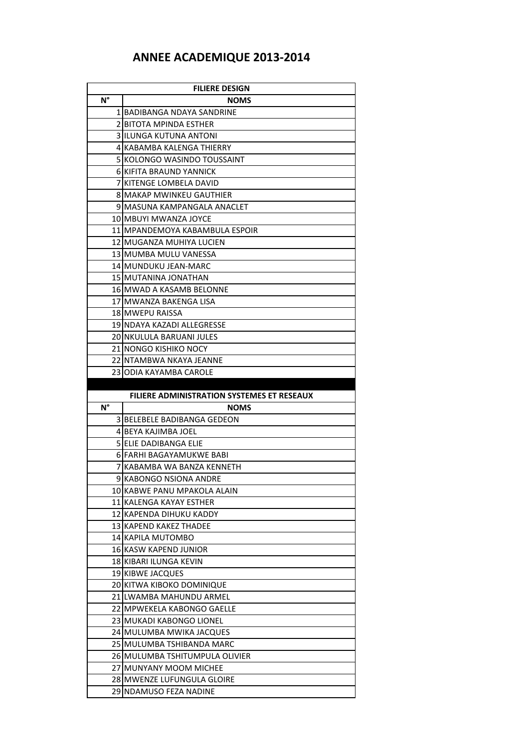### **ANNEE ACADEMIQUE 2013-2014**

| <b>FILIERE DESIGN</b> |                                                      |
|-----------------------|------------------------------------------------------|
| N°                    | <b>NOMS</b>                                          |
|                       | 1 BADIBANGA NDAYA SANDRINE                           |
|                       | 2 BITOTA MPINDA ESTHER                               |
|                       | 3 IILUNGA KUTUNA ANTONI                              |
|                       | 4 KABAMBA KALENGA THIERRY                            |
|                       | 5 KOLONGO WASINDO TOUSSAINT                          |
|                       | 6 KIFITA BRAUND YANNICK                              |
|                       | 7 KITENGE LOMBELA DAVID                              |
|                       | 8 MAKAP MWINKEU GAUTHIER                             |
|                       | 9 MASUNA KAMPANGALA ANACLET                          |
|                       | 10 IMBUYI MWANZA JOYCE                               |
|                       | 11 IMPANDEMOYA KABAMBULA ESPOIR                      |
|                       | 12 IMUGANZA MUHIYA LUCIEN                            |
|                       | 13 IMUMBA MULU VANESSA                               |
|                       | 14 MUNDUKU JEAN-MARC                                 |
|                       | 15 IMUTANINA JONATHAN                                |
|                       | 16lMWAD A KASAMB BELONNE                             |
|                       | 17 IMWANZA BAKENGA LISA                              |
|                       | 18 IMWEPU RAISSA                                     |
|                       | 19 NDAYA KAZADI ALLEGRESSE                           |
|                       | 20 NKULULA BARUANI JULES                             |
|                       | 21 INONGO KISHIKO NOCY                               |
|                       | 22 INTAMBWA NKAYA JEANNE                             |
|                       | 23 ODIA KAYAMBA CAROLE                               |
|                       |                                                      |
|                       | <b>FILIERE ADMINISTRATION SYSTEMES ET RESEAUX</b>    |
| N°                    | <b>NOMS</b>                                          |
|                       | 3 BELEBELE BADIBANGA GEDEON                          |
|                       | 4 BEYA KAJIMBA JOEL                                  |
|                       | 5 JELIE DADIBANGA ELIE                               |
|                       | 6IFARHI BAGAYAMUKWE BABI                             |
|                       | 7 KABAMBA WA BANZA KENNETH                           |
|                       | 9 KABONGO NSIONA ANDRE                               |
|                       |                                                      |
|                       | 10JKABWE PANU MPAKOLA ALAIN                          |
|                       | 11 KALENGA KAYAY ESTHER                              |
|                       | 12 KAPENDA DIHUKU KADDY                              |
|                       | 13 IKAPEND KAKEZ THADEE                              |
|                       | 14 KAPILA MUTOMBO                                    |
|                       | 16 KASW KAPEND JUNIOR                                |
|                       | 18 KIBARI ILUNGA KEVIN                               |
|                       | 19 KIBWE JACQUES                                     |
|                       | 20 KITWA KIBOKO DOMINIQUE                            |
|                       | 21 ILWAMBA MAHUNDU ARMEL                             |
|                       | 22 MPWEKELA KABONGO GAELLE                           |
|                       | 23 MUKADI KABONGO LIONEL                             |
|                       | 24 MULUMBA MWIKA JACQUES                             |
|                       | 25 MULUMBA TSHIBANDA MARC                            |
|                       | 26 IMULUMBA TSHITUMPULA OLIVIER                      |
|                       | 27 MUNYANY MOOM MICHEE                               |
|                       | 28 MWENZE LUFUNGULA GLOIRE<br>29 NDAMUSO FEZA NADINE |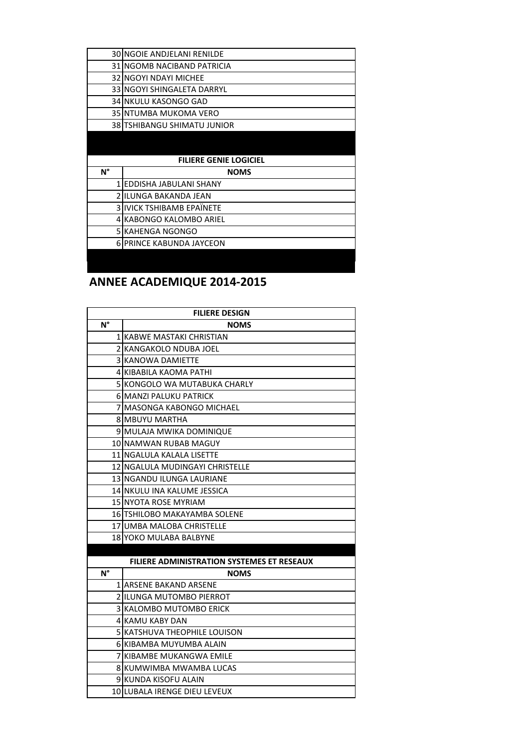| <b>30 INGOIE ANDJELANI RENILDE</b><br>31 INGOMB NACIBAND PATRICIA<br><b>32 INGOYI NDAYI MICHEE</b><br>33 INGOYI SHINGALETA DARRYL<br>34 NKULU KASONGO GAD<br>35 INTUMBA MUKOMA VERO<br>38 TSHIBANGU SHIMATU JUNIOR<br><b>FILIERE GENIE LOGICIEL</b> |
|-----------------------------------------------------------------------------------------------------------------------------------------------------------------------------------------------------------------------------------------------------|
|                                                                                                                                                                                                                                                     |
|                                                                                                                                                                                                                                                     |
|                                                                                                                                                                                                                                                     |
|                                                                                                                                                                                                                                                     |
|                                                                                                                                                                                                                                                     |
|                                                                                                                                                                                                                                                     |
|                                                                                                                                                                                                                                                     |
|                                                                                                                                                                                                                                                     |
|                                                                                                                                                                                                                                                     |
|                                                                                                                                                                                                                                                     |
| N°<br><b>NOMS</b>                                                                                                                                                                                                                                   |
| 1 EDDISHA JABULANI SHANY                                                                                                                                                                                                                            |
| 2 IILUNGA BAKANDA JEAN                                                                                                                                                                                                                              |
| 3 IIVICK TSHIBAMB EPAÏNETE                                                                                                                                                                                                                          |
| 4 KABONGO KALOMBO ARIEL                                                                                                                                                                                                                             |
| 5 KAHENGA NGONGO                                                                                                                                                                                                                                    |
|                                                                                                                                                                                                                                                     |
| <b>6 PRINCE KABUNDA JAYCEON</b>                                                                                                                                                                                                                     |

### **ANNEE ACADEMIQUE 2014-2015**

| <b>FILIERE DESIGN</b>    |                                                   |
|--------------------------|---------------------------------------------------|
| $N^{\circ}$              | <b>NOMS</b>                                       |
| 1                        | KABWE MASTAKI CHRISTIAN                           |
|                          | 2 KANGAKOLO NDUBA JOEL                            |
| $\overline{3}$           | KANOWA DAMIETTE                                   |
|                          | 4 KIBABILA KAOMA PATHI                            |
| 5.                       | KONGOLO WA MUTABUKA CHARLY                        |
|                          | <b>6 MANZI PALUKU PATRICK</b>                     |
| 7                        | <b>MASONGA KABONGO MICHAEL</b>                    |
|                          | <b>8 MBUYU MARTHA</b>                             |
| 9                        | MULAJA MWIKA DOMINIQUE                            |
|                          | 10 NAMWAN RUBAB MAGUY                             |
|                          | 11 NGALULA KALALA LISETTE                         |
| 12 <sub>l</sub>          | NGALULA MUDINGAYI CHRISTELLE                      |
|                          | 13 NGANDU ILUNGA LAURIANE                         |
|                          | 14 NKULU INA KALUME JESSICA                       |
|                          | <b>15 NYOTA ROSE MYRIAM</b>                       |
|                          | 16 TSHILOBO MAKAYAMBA SOLENE                      |
|                          | 17 UMBA MALOBA CHRISTELLE                         |
|                          | 18 YOKO MULABA BALBYNE                            |
|                          |                                                   |
|                          | <b>FILIERE ADMINISTRATION SYSTEMES ET RESEAUX</b> |
| $N^{\circ}$              | <b>NOMS</b>                                       |
|                          | <b>1 ARSENE BAKAND ARSENE</b>                     |
| $\overline{\phantom{a}}$ | <b>ILUNGA MUTOMBO PIERROT</b>                     |
| 3                        | IKALOMBO MUTOMBO ERICK                            |
|                          | <b>4 KAMU KABY DAN</b>                            |
| 51                       | IKATSHUVA THEOPHILE LOUISON                       |
| 61                       | KIBAMBA MUYUMBA ALAIN                             |
| 7                        | KIBAMBE MUKANGWA EMILE                            |
|                          | 8 KUMWIMBA MWAMBA LUCAS                           |
|                          | 9 KUNDA KISOFU ALAIN                              |
|                          | 10 LUBALA IRENGE DIEU LEVEUX                      |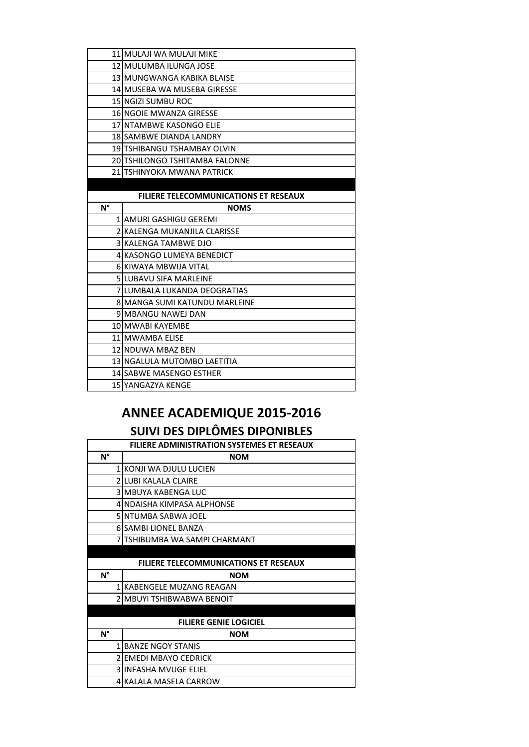|                                              | 11 MULAJI WA MULAJI MIKE             |
|----------------------------------------------|--------------------------------------|
|                                              | 12 MULUMBA ILUNGA JOSE               |
|                                              | 13 MUNGWANGA KABIKA BLAISE           |
|                                              | 14 MUSEBA WA MUSEBA GIRESSE          |
|                                              | 15 INGIZI SUMBU ROC                  |
|                                              | 16 NGOIE MWANZA GIRESSE              |
|                                              | 17 NTAMBWE KASONGO ELIE              |
|                                              | 18 SAMBWE DIANDA LANDRY              |
|                                              | 19 TSHIBANGU TSHAMBAY OLVIN          |
|                                              | 20 TSHILONGO TSHITAMBA FALONNE       |
|                                              | 21 ITSHINYOKA MWANA PATRICK          |
|                                              |                                      |
| <b>FILIERE TELECOMMUNICATIONS ET RESEAUX</b> |                                      |
| $N^{\circ}$                                  | <b>NOMS</b>                          |
|                                              | 1 JAMURI GASHIGU GEREMI              |
|                                              | 2 KALENGA MUKANJILA CLARISSE         |
|                                              |                                      |
|                                              | 3 KALENGA TAMBWE DJO                 |
|                                              | 4 KASONGO LUMEYA BENEDICT            |
|                                              | 6 KIWAYA MBWIJA VITAL                |
|                                              | <b>5 ILUBAVU SIFA MARLEINE</b>       |
|                                              | <b>7 ILUMBALA LUKANDA DEOGRATIAS</b> |
|                                              | 8 MANGA SUMI KATUNDU MARLEINE        |
|                                              | 9 MBANGU NAWEJ DAN                   |
|                                              | 10 MWABI KAYEMBE                     |
|                                              | 11 MWAMBA ELISE                      |
|                                              | 12 NDUWA MBAZ BEN                    |
|                                              | 13 NGALULA MUTOMBO LAETITIA          |
|                                              | 14 SABWE MASENGO ESTHER              |

# **ANNEE ACADEMIQUE 2015-2016**

## **SUIVI DES DIPLÔMES DIPONIBLES**

| <b>FILIERE ADMINISTRATION SYSTEMES ET RESEAUX</b> |                                              |
|---------------------------------------------------|----------------------------------------------|
| N°                                                | <b>NOM</b>                                   |
| $\mathbf{1}$                                      | KONJI WA DJULU LUCIEN                        |
| $\overline{\phantom{a}}$                          | LUBI KALALA CLAIRE                           |
|                                                   | 3 IMBUYA KABENGA LUC                         |
|                                                   | 4 INDAISHA KIMPASA ALPHONSE                  |
|                                                   | 5 INTUMBA SABWA JOEL                         |
|                                                   | <b>6 SAMBI LIONEL BANZA</b>                  |
|                                                   | TSHIBUMBA WA SAMPI CHARMANT                  |
|                                                   |                                              |
|                                                   | <b>FILIERE TELECOMMUNICATIONS ET RESEAUX</b> |
| N°                                                | <b>NOM</b>                                   |
| $\mathbf{1}$                                      | IKABENGELE MUZANG REAGAN                     |
|                                                   | MBUYI TSHIBWABWA BENOIT                      |
|                                                   |                                              |
|                                                   | <b>FILIERE GENIE LOGICIEL</b>                |
| N°                                                | <b>NOM</b>                                   |
| $\mathbf{1}$                                      | <b>BANZE NGOY STANIS</b>                     |
| $\overline{\phantom{a}}$                          | EMEDI MBAYO CEDRICK                          |
|                                                   | 3 IINFASHA MVUGE ELIEL                       |
| 4                                                 | KALALA MASELA CARROW                         |